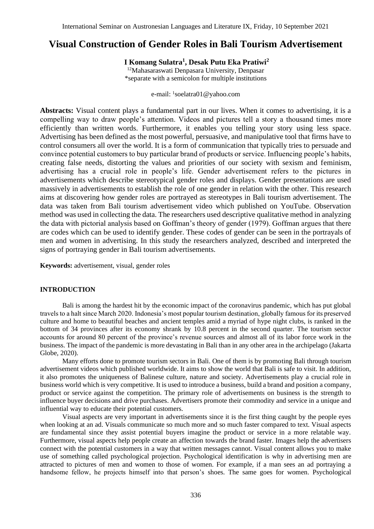# **Visual Construction of Gender Roles in Bali Tourism Advertisement**

# **I Komang Sulatra<sup>1</sup> , Desak Putu Eka Pratiwi<sup>2</sup>**

<sup>12</sup>Mahasaraswati Denpasara University, Denpasar \*separate with a semicolon for multiple institutions

e-mail: <sup>1</sup>[soelatra01@yahoo.com](mailto:soelatra01@yahoo.com)

**Abstracts:** Visual content plays a fundamental part in our lives. When it comes to advertising, it is a compelling way to draw people's attention. Videos and pictures tell a story a thousand times more efficiently than written words. Furthermore, it enables you telling your story using less space. Advertising has been defined as the most powerful, persuasive, and manipulative tool that firms have to control consumers all over the world. It is a form of communication that typically tries to persuade and convince potential customers to buy particular brand of products or service. Influencing people's habits, creating false needs, distorting the values and priorities of our society with sexism and feminism, advertising has a crucial role in people's life. Gender advertisement refers to the pictures in advertisements which describe stereotypical gender roles and displays. Gender presentations are used massively in advertisements to establish the role of one gender in relation with the other. This research aims at discovering how gender roles are portrayed as stereotypes in Bali tourism advertisement. The data was taken from Bali tourism advertisement video which published on YouTube. Observation method was used in collecting the data. The researchers used descriptive qualitative method in analyzing the data with pictorial analysis based on Goffman's theory of gender (1979). Goffman argues that there are codes which can be used to identify gender. These codes of gender can be seen in the portrayals of men and women in advertising. In this study the researchers analyzed, described and interpreted the signs of portraying gender in Bali tourism advertisements.

**Keywords:** advertisement, visual, gender roles

## **INTRODUCTION**

Bali is among the hardest hit by the economic impact of the coronavirus pandemic, which has put global travels to a halt since March 2020. Indonesia's most popular tourism destination, globally famous for its preserved culture and home to beautiful beaches and ancient temples amid a myriad of hype night clubs, is ranked in the bottom of 34 provinces after its economy shrank by 10.8 percent in the second quarter. The tourism sector accounts for around 80 percent of the province's revenue sources and almost all of its labor force work in the business. The impact of the pandemic is more devastating in Bali than in any other area in the archipelago (Jakarta Globe, 2020).

Many efforts done to promote tourism sectors in Bali. One of them is by promoting Bali through tourism advertisement videos which published worldwide. It aims to show the world that Bali is safe to visit. In addition, it also promotes the uniqueness of Balinese culture, nature and society. Advertisements play a crucial role in business world which is very competitive. It is used to introduce a business, build a brand and position a company, product or service against the competition. The primary role of advertisements on business is the strength to influence buyer decisions and drive purchases. Advertisers promote their commodity and service in a unique and influential way to educate their potential customers.

Visual aspects are very important in advertisements since it is the first thing caught by the people eyes when looking at an ad. Visuals communicate so much more and so much faster compared to text. Visual aspects are fundamental since they assist potential buyers imagine the product or service in a more relatable way. Furthermore, visual aspects help people create an affection towards the brand faster. Images help the advertisers connect with the potential customers in a way that written messages cannot. Visual content allows you to make use of something called psychological projection. Psychological identification is why in advertising men are attracted to pictures of men and women to those of women. For example, if a man sees an ad portraying a handsome fellow, he projects himself into that person's shoes. The same goes for women. Psychological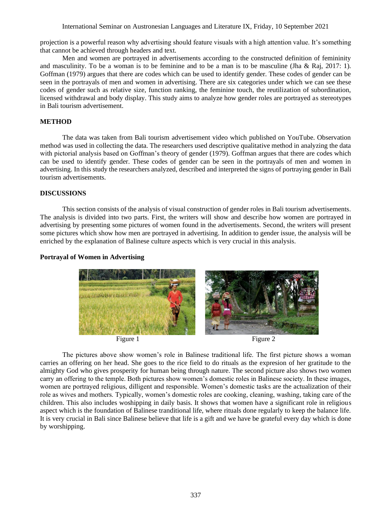projection is a powerful reason why advertising should feature visuals with a high attention value. It's something that cannot be achieved through headers and text.

Men and women are portrayed in advertisements according to the constructed definition of femininity and masculinity. To be a woman is to be feminine and to be a man is to be masculine (Jha & Raj, 2017: 1). Goffman (1979) argues that there are codes which can be used to identify gender. These codes of gender can be seen in the portrayals of men and women in advertising. There are six categories under which we can see these codes of gender such as relative size, function ranking, the feminine touch, the reutilization of subordination, licensed withdrawal and body display. This study aims to analyze how gender roles are portrayed as stereotypes in Bali tourism advertisement.

## **METHOD**

The data was taken from Bali tourism advertisement video which published on YouTube. Observation method was used in collecting the data. The researchers used descriptive qualitative method in analyzing the data with pictorial analysis based on Goffman's theory of gender (1979). Goffman argues that there are codes which can be used to identify gender. These codes of gender can be seen in the portrayals of men and women in advertising. In this study the researchers analyzed, described and interpreted the signs of portraying gender in Bali tourism advertisements.

### **DISCUSSIONS**

This section consists of the analysis of visual construction of gender roles in Bali tourism advertisements. The analysis is divided into two parts. First, the writers will show and describe how women are portrayed in advertising by presenting some pictures of women found in the advertisements. Second, the writers will present some pictures which show how men are portrayed in advertising. In addition to gender issue, the analysis will be enriched by the explanation of Balinese culture aspects which is very crucial in this analysis.

### **Portrayal of Women in Advertising**



The pictures above show women's role in Balinese traditional life. The first picture shows a woman carries an offering on her head. She goes to the rice field to do rituals as the expresion of her gratitude to the almighty God who gives prosperity for human being through nature. The second picture also shows two women carry an offering to the temple. Both pictures show women's domestic roles in Balinese society. In these images, women are portrayed religious, dilligent and responsible. Women's domestic tasks are the actualization of their role as wives and mothers. Typically, women's domestic roles are cooking, cleaning, washing, taking care of the children. This also includes woshipping in daily basis. It shows that women have a significant role in religious aspect which is the foundation of Balinese tranditional life, where rituals done regularly to keep the balance life. It is very crucial in Bali since Balinese believe that life is a gift and we have be grateful every day which is done by worshipping.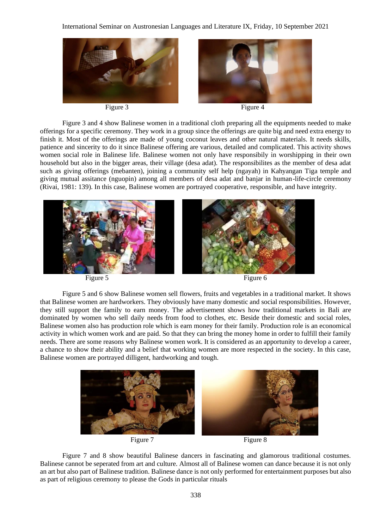



Figure 3 Figure 4

Figure 3 and 4 show Balinese women in a traditional cloth preparing all the equipments needed to make offerings for a specific ceremony. They work in a group since the offerings are quite big and need extra energy to finish it. Most of the offerings are made of young coconut leaves and other natural materials. It needs skills, patience and sincerity to do it since Balinese offering are various, detailed and complicated. This activity shows women social role in Balinese life. Balinese women not only have responsibily in worshipping in their own household but also in the bigger areas, their village (desa adat). The responsibilites as the member of desa adat such as giving offerings (mebanten), joining a community self help (ngayah) in Kahyangan Tiga temple and giving mutual assitance (nguopin) among all members of desa adat and banjar in human-life-circle ceremony (Rivai, 1981: 139). In this case, Balinese women are portrayed cooperative, responsible, and have integrity.



Figure 5 and 6 show Balinese women sell flowers, fruits and vegetables in a traditional market. It shows that Balinese women are hardworkers. They obviously have many domestic and social responsibilities. However, they still support the family to earn money. The advertisement shows how traditional markets in Bali are dominated by women who sell daily needs from food to clothes, etc. Beside their domestic and social roles, Balinese women also has production role which is earn money for their family. Production role is an economical activity in which women work and are paid. So that they can bring the money home in order to fulfill their family needs. There are some reasons why Balinese women work. It is considered as an apportunity to develop a career, a chance to show their ability and a belief that working women are more respected in the society. In this case, Balinese women are portrayed dilligent, hardworking and tough.



Figure 7 and 8 show beautiful Balinese dancers in fascinating and glamorous traditional costumes. Balinese cannot be seperated from art and culture. Almost all of Balinese women can dance because it is not only an art but also part of Balinese tradition. Balinese dance is not only performed for entertainment purposes but also as part of religious ceremony to please the Gods in particular rituals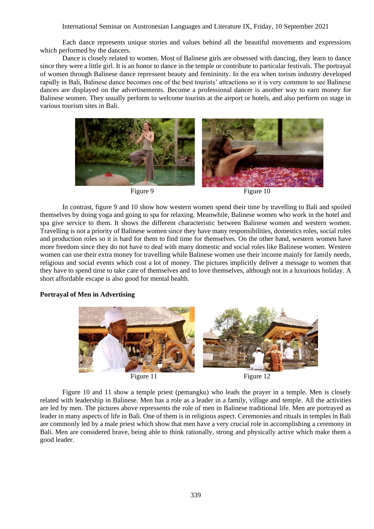Each dance represents unique stories and values behind all the beautiful movements and expressions which performed by the dancers.

Dance is closely related to women. Most of Balinese girls are obsessed with dancing, they learn to dance since they were a little girl. It is an honor to dance in the temple or contribute to particular festivals. The portrayal of women through Balinese dance repressent beauty and femininity. In the era when torism industry developed rapidly in Bali, Balinese dance becomes one of the best tourists' attractions so it is very common to see Balinese dances are displayed on the advertisements. Become a professional dancer is another way to earn money for Balinese women. They usually perform to welcome tourists at the airport or hotels, and also perform on stage in various tourism sites in Bali.



In contrast, figure 9 and 10 show how western women spend their time by travelling to Bali and spoiled themselves by doing yoga and going to spa for relaxing. Meanwhile, Balinese women who work in the hotel and spa give service to them. It shows the different characteristic between Balinese women and western women. Travelling is not a priority of Balinese women since they have many responsibilities, domestics roles, social roles and production roles so it is hard for them to find time for themselves. On the other hand, western women have more freedom since they do not have to deal with many domestic and social roles like Balinese women. Western women can use their extra money for travelling while Balinese women use their income mainly for family needs, religious and social events which cost a lot of money. The pictures implicitly deliver a message to women that they have to spend time to take care of themselves and to love themselves, although not in a luxurious holiday. A short affordable escape is also good for mental health.

## **Portrayal of Men in Advertising**



Figure 10 and 11 show a temple priest (pemangku) who leads the prayer in a temple. Men is closely related with leadership in Balinese. Men has a role as a leader in a family, village and temple. All the activities are led by men. The pictures above repressents the role of men in Balinese traditional life. Men are portrayed as leader in many aspects of life in Bali. One of them is in religious aspect. Ceremonies and rituals in temples in Bali are commonly led by a male priest which show that men have a very crucial role in accomplishing a ceremony in Bali. Men are considered brave, being able to think rationally, strong and physically active which make them a good leader.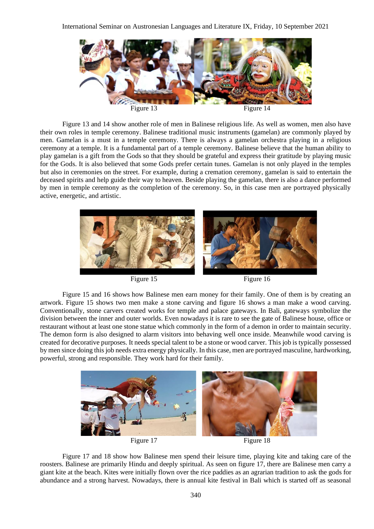

Figure 13 and 14 show another role of men in Balinese religious life. As well as women, men also have their own roles in temple ceremony. Balinese traditional music instruments (gamelan) are commonly played by men. Gamelan is a must in a temple ceremony. There is always a gamelan orchestra playing in a religious ceremony at a temple. It is a fundamental part of a temple ceremony. Balinese believe that the human ability to play gamelan is a gift from the Gods so that they should be grateful and express their gratitude by playing music for the Gods. It is also believed that some Gods prefer certain tunes. Gamelan is not only played in the temples but also in ceremonies on the street. For example, during a cremation ceremony, gamelan is said to entertain the deceased spirits and help guide their way to heaven. Beside playing the gamelan, there is also a dance performed by men in temple ceremony as the completion of the ceremony. So, in this case men are portrayed physically active, energetic, and artistic.



Figure 15 and 16 shows how Balinese men earn money for their family. One of them is by creating an artwork. Figure 15 shows two men make a stone carving and figure 16 shows a man make a wood carving. Conventionally, stone carvers created works for temple and palace gateways. In Bali, gateways symbolize the division between the inner and outer worlds. Even nowadays it is rare to see the gate of Balinese house, office or restaurant without at least one stone statue which commonly in the form of a demon in order to maintain security. The demon form is also designed to alarm visitors into behaving well once inside. Meanwhile wood carving is created for decorative purposes. It needs special talent to be a stone or wood carver. This job is typically possessed by men since doing this job needs extra energy physically. In this case, men are portrayed masculine, hardworking, powerful, strong and responsible. They work hard for their family.



Figure 17 and 18 show how Balinese men spend their leisure time, playing kite and taking care of the roosters. Balinese are primarily Hindu and deeply spiritual. As seen on figure 17, there are Balinese men carry a giant kite at the beach. Kites were initially flown over the rice paddies as an agrarian tradition to ask the gods for abundance and a strong harvest. Nowadays, there is annual kite festival in Bali which is started off as seasonal